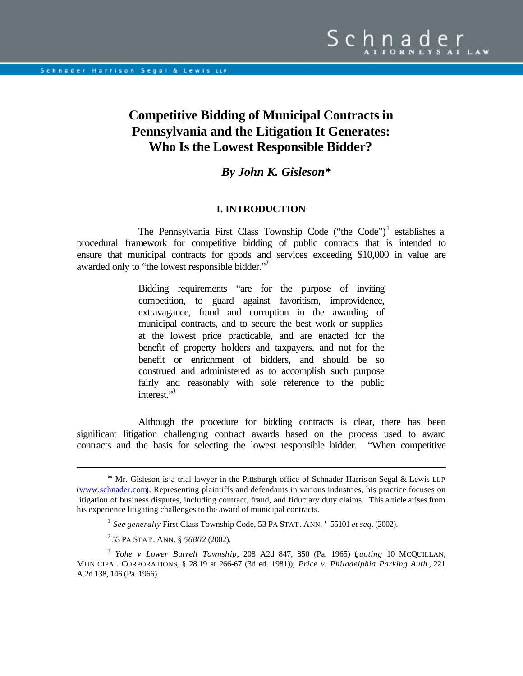# **Competitive Bidding of Municipal Contracts in Pennsylvania and the Litigation It Generates: Who Is the Lowest Responsible Bidder?**

# *By John K. Gisleson***\***

#### **I. INTRODUCTION**

The Pennsylvania First Class Township Code ("the Code")<sup>1</sup> establishes a procedural framework for competitive bidding of public contracts that is intended to ensure that municipal contracts for goods and services exceeding \$10,000 in value are awarded only to "the lowest responsible bidder."<sup>2</sup>

> Bidding requirements "are for the purpose of inviting competition, to guard against favoritism, improvidence, extravagance, fraud and corruption in the awarding of municipal contracts, and to secure the best work or supplies at the lowest price practicable, and are enacted for the benefit of property holders and taxpayers, and not for the benefit or enrichment of bidders, and should be so construed and administered as to accomplish such purpose fairly and reasonably with sole reference to the public interest."<sup>3</sup>

Although the procedure for bidding contracts is clear, there has been significant litigation challenging contract awards based on the process used to award contracts and the basis for selecting the lowest responsible bidder. "When competitive

<sup>\*</sup> Mr. Gisleson is a trial lawyer in the Pittsburgh office of Schnader Harris on Segal & Lewis LLP ([www.schnader.com\)](http://www.schnader.com). Representing plaintiffs and defendants in various industries, his practice focuses on litigation of business disputes, including contract, fraud, and fiduciary duty claims. This article arises from his experience litigating challenges to the award of municipal contracts.

<sup>1</sup>*See generally* First Class Township Code, 53 PA STAT. ANN. ' 55101 *et seq*. (2002).

<sup>2</sup> 53 PA STAT. ANN. § *56802* (2002).

<sup>3</sup> *Yohe v Lower Burrell Township*, 208 A2d 847, 850 (Pa. 1965) (*quoting* 10 MCQUILLAN, MUNICIPAL CORPORATIONS, § 28.19 at 266-67 (3d ed. 1981)); *Price v. Philadelphia Parking Auth.*, 221 A.2d 138, 146 (Pa. 1966).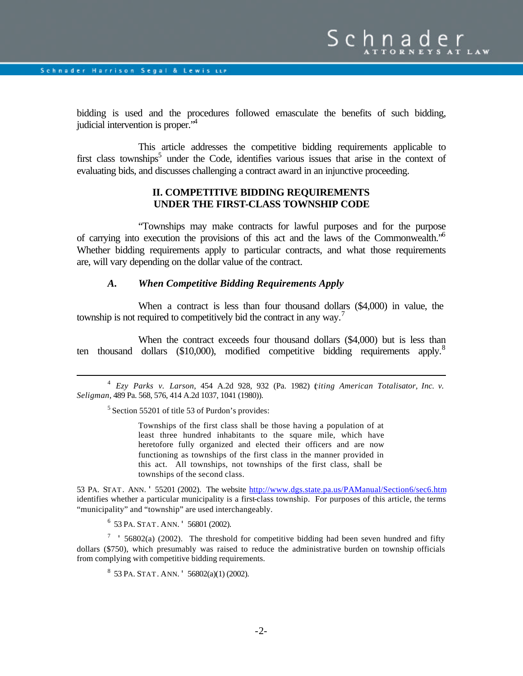$\overline{a}$ 

bidding is used and the procedures followed emasculate the benefits of such bidding, judicial intervention is proper."<sup>4</sup>

This article addresses the competitive bidding requirements applicable to first class townships<sup>5</sup> under the Code, identifies various issues that arise in the context of evaluating bids, and discusses challenging a contract award in an injunctive proceeding.

## **II. COMPETITIVE BIDDING REQUIREMENTS UNDER THE FIRST-CLASS TOWNSHIP CODE**

"Townships may make contracts for lawful purposes and for the purpose of carrying into execution the provisions of this act and the laws of the Commonwealth."<sup>6</sup> Whether bidding requirements apply to particular contracts, and what those requirements are, will vary depending on the dollar value of the contract.

## *A. When Competitive Bidding Requirements Apply*

When a contract is less than four thousand dollars (\$4,000) in value, the township is not required to competitively bid the contract in any way.<sup>7</sup>

When the contract exceeds four thousand dollars (\$4,000) but is less than ten thousand dollars  $(\$10,000)$ , modified competitive bidding requirements apply.<sup>8</sup>

4 *Ezy Parks v. Larson*, 454 A.2d 928, 932 (Pa. 1982) (*citing American Totalisator, Inc. v. Seligman*, 489 Pa. 568, 576, 414 A.2d 1037, 1041 (1980)).

<sup>5</sup> Section 55201 of title 53 of Purdon's provides:

Townships of the first class shall be those having a population of at least three hundred inhabitants to the square mile, which have heretofore fully organized and elected their officers and are now functioning as townships of the first class in the manner provided in this act. All townships, not townships of the first class, shall be townships of the second class.

53 PA. STAT. ANN. ' 55201 (2002). The website<http://www.dgs.state.pa.us/PAManual/Section6/sec6.htm> identifies whether a particular municipality is a first-class township. For purposes of this article, the terms "municipality" and "township" are used interchangeably.

6 53 PA. STAT. ANN. ' 56801 (2002).

<sup>7</sup> ' 56802(a) (2002). The threshold for competitive bidding had been seven hundred and fifty dollars (\$750), which presumably was raised to reduce the administrative burden on township officials from complying with competitive bidding requirements.

 $8\,$  53 PA. STAT. ANN. ' 56802(a)(1) (2002).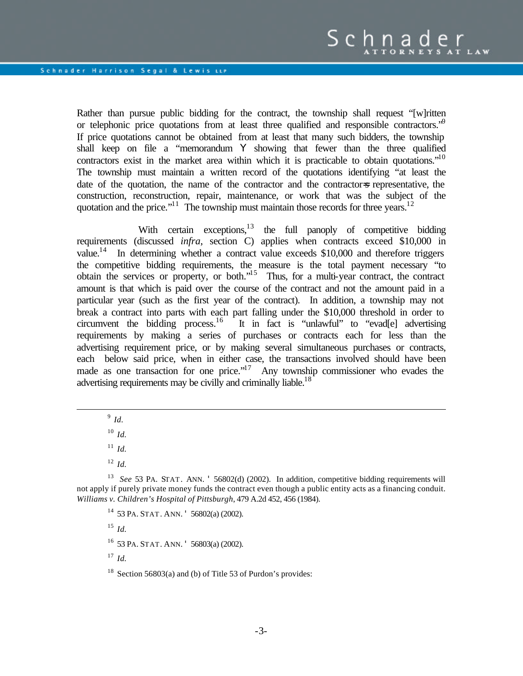Rather than pursue public bidding for the contract, the township shall request "[w]ritten or telephonic price quotations from at least three qualified and responsible contractors.<sup>"9</sup> If price quotations cannot be obtained from at least that many such bidders, the township shall keep on file a "memorandum Y showing that fewer than the three qualified contractors exist in the market area within which it is practicable to obtain quotations."<sup>10</sup> The township must maintain a written record of the quotations identifying "at least the date of the quotation, the name of the contractor and the contractor=s representative, the construction, reconstruction, repair, maintenance, or work that was the subject of the quotation and the price."<sup>11</sup> The township must maintain those records for three years.<sup>12</sup>

With certain exceptions, $13$  the full panoply of competitive bidding requirements (discussed *infra*, section C) applies when contracts exceed \$10,000 in value.<sup>14</sup> In determining whether a contract value exceeds  $$10,000$  and therefore triggers the competitive bidding requirements, the measure is the total payment necessary "to obtain the services or property, or both."<sup>15</sup> Thus, for a multi-year contract, the contract amount is that which is paid over the course of the contract and not the amount paid in a particular year (such as the first year of the contract). In addition, a township may not break a contract into parts with each part falling under the \$10,000 threshold in order to circumvent the bidding process.<sup>16</sup> It in fact is "unlawful" to "evad[e] advertising requirements by making a series of purchases or contracts each for less than the advertising requirement price, or by making several simultaneous purchases or contracts, each below said price, when in either case, the transactions involved should have been made as one transaction for one price."<sup>17</sup> Any township commissioner who evades the advertising requirements may be civilly and criminally liable.<sup>18</sup>

9 *Id.*

 $\overline{a}$ 

<sup>10</sup> *Id.*

 $11$  *Id.* 

<sup>12</sup> *Id.*

<sup>14</sup> 53 PA. STAT. ANN. ' 56802(a) (2002).

<sup>15</sup> *Id.*

<sup>16</sup> 53 PA. STAT. ANN. ' 56803(a) (2002).

 $17$  *Id.* 

<sup>18</sup> Section 56803(a) and (b) of Title 53 of Purdon's provides:

<sup>13</sup> *See* 53 PA. STAT. ANN. ' 56802(d) (2002). In addition, competitive bidding requirements will not apply if purely private money funds the contract even though a public entity acts as a financing conduit. *Williams v. Children's Hospital of Pittsburgh*, 479 A.2d 452, 456 (1984).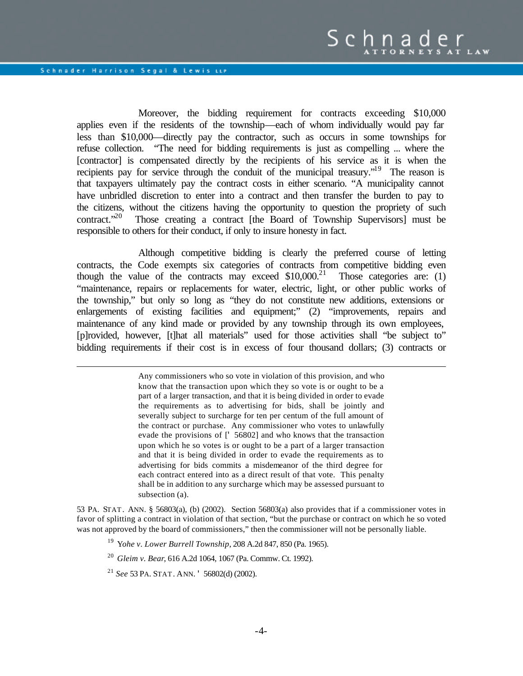$\overline{a}$ 

Moreover, the bidding requirement for contracts exceeding \$10,000 applies even if the residents of the township—each of whom individually would pay far less than \$10,000—directly pay the contractor, such as occurs in some townships for refuse collection. "The need for bidding requirements is just as compelling ... where the [contractor] is compensated directly by the recipients of his service as it is when the recipients pay for service through the conduit of the municipal treasury.<sup>"19</sup> The reason is that taxpayers ultimately pay the contract costs in either scenario. "A municipality cannot have unbridled discretion to enter into a contract and then transfer the burden to pay to the citizens, without the citizens having the opportunity to question the propriety of such contract. $20^{\circ}$  Those creating a contract [the Board of Township Supervisors] must be responsible to others for their conduct, if only to insure honesty in fact.

Although competitive bidding is clearly the preferred course of letting contracts, the Code exempts six categories of contracts from competitive bidding even though the value of the contracts may exceed  $$10,000.<sup>21</sup>$  Those categories are: (1) "maintenance, repairs or replacements for water, electric, light, or other public works of the township," but only so long as "they do not constitute new additions, extensions or enlargements of existing facilities and equipment;" (2) "improvements, repairs and maintenance of any kind made or provided by any township through its own employees, [p]rovided, however, [t]hat all materials" used for those activities shall "be subject to" bidding requirements if their cost is in excess of four thousand dollars; (3) contracts or

> Any commissioners who so vote in violation of this provision, and who know that the transaction upon which they so vote is or ought to be a part of a larger transaction, and that it is being divided in order to evade the requirements as to advertising for bids, shall be jointly and severally subject to surcharge for ten per centum of the full amount of the contract or purchase. Any commissioner who votes to unlawfully evade the provisions of [' 56802] and who knows that the transaction upon which he so votes is or ought to be a part of a larger transaction and that it is being divided in order to evade the requirements as to advertising for bids commits a misdemeanor of the third degree for each contract entered into as a direct result of that vote. This penalty shall be in addition to any surcharge which may be assessed pursuant to subsection (a).

53 PA. STAT. ANN. § 56803(a), (b) (2002). Section 56803(a) also provides that if a commissioner votes in favor of splitting a contract in violation of that section, "but the purchase or contract on which he so voted was not approved by the board of commissioners," then the commissioner will not be personally liable.

- <sup>19</sup> Y*ohe v. Lower Burrell Township*, 208 A.2d 847, 850 (Pa. 1965).
- <sup>20</sup> *Gleim v. Bear*, 616 A.2d 1064, 1067 (Pa. Commw. Ct. 1992).

<sup>21</sup> *See* 53 PA. STAT. ANN. ' 56802(d) (2002).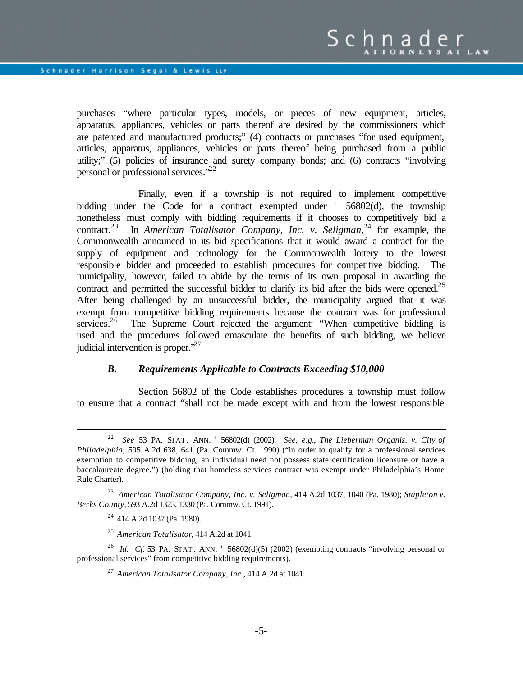purchases "where particular types, models, or pieces of new equipment, articles, apparatus, appliances, vehicles or parts thereof are desired by the commissioners which are patented and manufactured products;" (4) contracts or purchases "for used equipment, articles, apparatus, appliances, vehicles or parts thereof being purchased from a public utility;" (5) policies of insurance and surety company bonds; and (6) contracts "involving personal or professional services."<sup>22</sup>

Finally, even if a township is not required to implement competitive bidding under the Code for a contract exempted under ' 56802(d), the township nonetheless must comply with bidding requirements if it chooses to competitively bid a contract.<sup>23</sup> In *American Totalisator Company, Inc. v. Seligman*, <sup>24</sup> for example, the Commonwealth announced in its bid specifications that it would award a contract for the supply of equipment and technology for the Commonwealth lottery to the lowest responsible bidder and proceeded to establish procedures for competitive bidding. The municipality, however, failed to abide by the terms of its own proposal in awarding the contract and permitted the successful bidder to clarify its bid after the bids were opened.<sup>25</sup> After being challenged by an unsuccessful bidder, the municipality argued that it was exempt from competitive bidding requirements because the contract was for professional services.<sup>26</sup> The Supreme Court rejected the argument: "When competitive bidding is used and the procedures followed emasculate the benefits of such bidding, we believe judicial intervention is proper."<sup>27</sup>

#### *B. Requirements Applicable to Contracts Exceeding \$10,000*

Section 56802 of the Code establishes procedures a township must follow to ensure that a contract "shall not be made except with and from the lowest responsible

<sup>24</sup> 414 A.2d 1037 (Pa. 1980).

 $\overline{a}$ 

<sup>25</sup> *American Totalisator*, 414 A.2d at 1041.

<sup>26</sup> *Id. Cf.* 53 PA. STAT. ANN. ' 56802(d)(5) (2002) (exempting contracts "involving personal or professional services" from competitive bidding requirements).

<sup>27</sup> *American Totalisator Company, Inc.*, 414 A.2d at 1041.

<sup>22</sup> *See* 53 PA. STAT. ANN. ' 56802(d) (2002). *See, e.g.*, *The Lieberman Organiz. v. City of Philadelphia*, 595 A.2d 638, 641 (Pa. Commw. Ct. 1990) ("in order to qualify for a professional services exemption to competitive bidding, an individual need not possess state certification licensure or have a baccalaureate degree.") (holding that homeless services contract was exempt under Philadelphia's Home Rule Charter).

<sup>23</sup> *American Totalisator Company, Inc. v. Seligman*, 414 A.2d 1037, 1040 (Pa. 1980); *Stapleton v. Berks County*, 593 A.2d 1323, 1330 (Pa. Commw. Ct. 1991).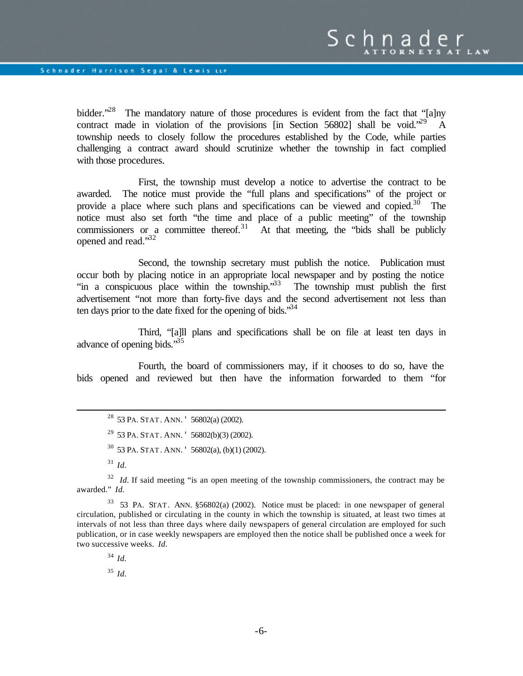bidder.<sup>28</sup> The mandatory nature of those procedures is evident from the fact that "[a]ny contract made in violation of the provisions [in Section 56802] shall be void.<sup> $29$ </sup> A township needs to closely follow the procedures established by the Code, while parties challenging a contract award should scrutinize whether the township in fact complied with those procedures.

First, the township must develop a notice to advertise the contract to be awarded. The notice must provide the "full plans and specifications" of the project or provide a place where such plans and specifications can be viewed and copied. $30$  The notice must also set forth "the time and place of a public meeting" of the township commissioners or a committee thereof.<sup>31</sup> At that meeting, the "bids shall be publicly opened and read."<sup>32</sup>

Second, the township secretary must publish the notice. Publication must occur both by placing notice in an appropriate local newspaper and by posting the notice "in a conspicuous place within the township."<sup>33</sup> The township must publish the first advertisement "not more than forty-five days and the second advertisement not less than ten days prior to the date fixed for the opening of bids.<sup>34</sup>

Third, "[a]ll plans and specifications shall be on file at least ten days in advance of opening bids."<sup>35</sup>

Fourth, the board of commissioners may, if it chooses to do so, have the bids opened and reviewed but then have the information forwarded to them "for

<sup>28</sup> 53 PA. STAT. ANN. ' 56802(a) (2002). <sup>29</sup> 53 PA. STAT. ANN.  $\cdot$  56802(b)(3) (2002). <sup>30</sup> 53 PA. STAT. ANN. ' 56802(a), (b)(1) (2002). <sup>31</sup> *Id.*

<sup>32</sup> *Id.* If said meeting "is an open meeting of the township commissioners, the contract may be awarded." *Id.*

 $33$  53 PA. STAT. ANN.  $$56802(a)$  (2002). Notice must be placed: in one newspaper of general circulation, published or circulating in the county in which the township is situated, at least two times at intervals of not less than three days where daily newspapers of general circulation are employed for such publication, or in case weekly newspapers are employed then the notice shall be published once a week for two successive weeks. *Id.*

<sup>34</sup> *Id.*

 $\overline{a}$ 

<sup>35</sup> *Id.*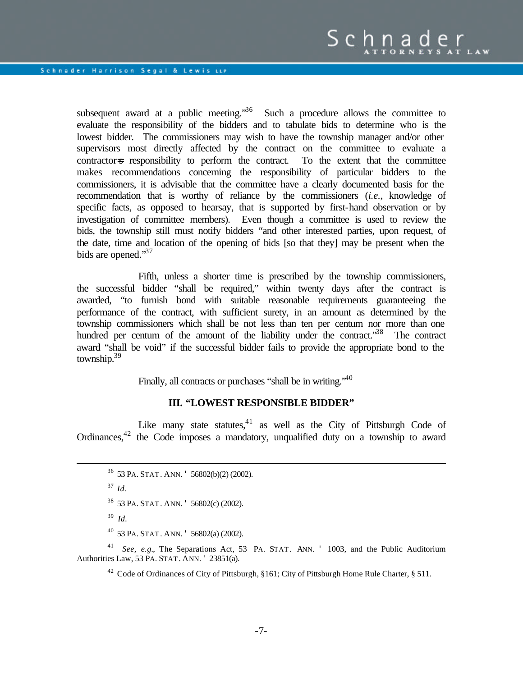subsequent award at a public meeting.<sup>36</sup> Such a procedure allows the committee to evaluate the responsibility of the bidders and to tabulate bids to determine who is the lowest bidder. The commissioners may wish to have the township manager and/or other supervisors most directly affected by the contract on the committee to evaluate a contractor=s responsibility to perform the contract. To the extent that the committee makes recommendations concerning the responsibility of particular bidders to the commissioners, it is advisable that the committee have a clearly documented basis for the recommendation that is worthy of reliance by the commissioners (*i.e.*, knowledge of specific facts, as opposed to hearsay, that is supported by first-hand observation or by investigation of committee members). Even though a committee is used to review the bids, the township still must notify bidders "and other interested parties, upon request, of the date, time and location of the opening of bids [so that they] may be present when the bids are opened."<sup>37</sup>

Fifth, unless a shorter time is prescribed by the township commissioners, the successful bidder "shall be required," within twenty days after the contract is awarded, "to furnish bond with suitable reasonable requirements guaranteeing the performance of the contract, with sufficient surety, in an amount as determined by the township commissioners which shall be not less than ten per centum nor more than one hundred per centum of the amount of the liability under the contract.<sup>38</sup> The contract award "shall be void" if the successful bidder fails to provide the appropriate bond to the township. $39$ 

Finally, all contracts or purchases "shall be in writing."<sup>40</sup>

#### **III. "LOWEST RESPONSIBLE BIDDER"**

Like many state statutes, $41$  as well as the City of Pittsburgh Code of Ordinances,<sup>42</sup> the Code imposes a mandatory, unqualified duty on a township to award

<sup>36</sup> 53 PA. STAT. ANN. ' 56802(b)(2) (2002).

<sup>37</sup> *Id.*

 $\overline{a}$ 

<sup>38</sup> 53 PA. STAT. ANN. ' 56802(c) (2002).

- 39 *Id.*
- <sup>40</sup> 53 PA. STAT. ANN. ' 56802(a) (2002).

<sup>41</sup> *See, e.g.*, The Separations Act, 53 PA. STAT. ANN. ' 1003, and the Public Auditorium Authorities Law, 53 PA. STAT. ANN. ' 23851(a).

<sup>42</sup> Code of Ordinances of City of Pittsburgh, §161; City of Pittsburgh Home Rule Charter, § 511.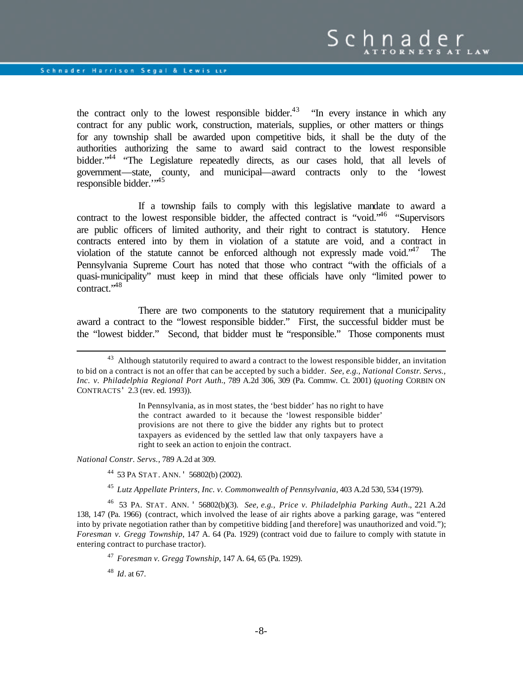the contract only to the lowest responsible bidder.<sup>43</sup> "In every instance in which any contract for any public work, construction, materials, supplies, or other matters or things for any township shall be awarded upon competitive bids, it shall be the duty of the authorities authorizing the same to award said contract to the lowest responsible bidder.<sup>44</sup> "The Legislature repeatedly directs, as our cases hold, that all levels of government—state, county, and municipal—award contracts only to the 'lowest responsible bidder."<sup>45</sup>

If a township fails to comply with this legislative mandate to award a contract to the lowest responsible bidder, the affected contract is "void." <sup>46</sup> "Supervisors" are public officers of limited authority, and their right to contract is statutory. Hence contracts entered into by them in violation of a statute are void, and a contract in violation of the statute cannot be enforced although not expressly made void.<sup> $47$ </sup> The Pennsylvania Supreme Court has noted that those who contract "with the officials of a quasi-municipality" must keep in mind that these officials have only "limited power to contract."<sup>48</sup>

There are two components to the statutory requirement that a municipality award a contract to the "lowest responsible bidder." First, the successful bidder must be the "lowest bidder." Second, that bidder must be "responsible." Those components must

In Pennsylvania, as in most states, the 'best bidder' has no right to have the contract awarded to it because the 'lowest responsible bidder' provisions are not there to give the bidder any rights but to protect taxpayers as evidenced by the settled law that only taxpayers have a right to seek an action to enjoin the contract.

*National Constr. Servs.*, 789 A.2d at 309.

 $\overline{a}$ 

<sup>44</sup> 53 PA STAT. ANN. ' 56802(b) (2002).

<sup>45</sup> *Lutz Appellate Printers, Inc. v. Commonwealth of Pennsylvania*, 403 A.2d 530, 534 (1979).

<sup>46</sup> 53 PA. STAT. ANN. ' 56802(b)(3). *See, e.g., Price v. Philadelphia Parking Auth*., 221 A.2d 138, 147 (Pa. 1966) (contract, which involved the lease of air rights above a parking garage, was "entered into by private negotiation rather than by competitive bidding [and therefore] was unauthorized and void."); *Foresman v. Gregg Township*, 147 A. 64 (Pa. 1929) (contract void due to failure to comply with statute in entering contract to purchase tractor).

<sup>47</sup> *Foresman v. Gregg Township*, 147 A. 64, 65 (Pa. 1929).

<sup>48</sup> *Id*. at 67.

<sup>&</sup>lt;sup>43</sup> Although statutorily required to award a contract to the lowest responsible bidder, an invitation to bid on a contract is not an offer that can be accepted by such a bidder. *See, e.g., National Constr. Servs., Inc. v. Philadelphia Regional Port Auth.*, 789 A.2d 306, 309 (Pa. Commw. Ct. 2001) (*quoting* CORBIN ON CONTRACTS' 2.3 (rev. ed. 1993)).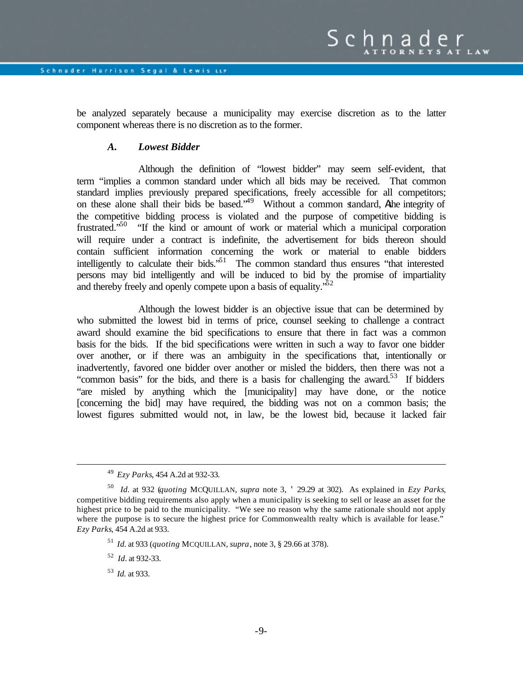be analyzed separately because a municipality may exercise discretion as to the latter component whereas there is no discretion as to the former.

# *A. Lowest Bidder*

Although the definition of "lowest bidder" may seem self-evident, that term "implies a common standard under which all bids may be received. That common standard implies previously prepared specifications, freely accessible for all competitors; on these alone shall their bids be based."<sup>49</sup> Without a common standard, Athe integrity of the competitive bidding process is violated and the purpose of competitive bidding is frustrated."<sup>50</sup> "If the kind or amount of work or material which a municipal corporation will require under a contract is indefinite, the advertisement for bids thereon should contain sufficient information concerning the work or material to enable bidders intelligently to calculate their bids.<sup>51</sup> The common standard thus ensures "that interested persons may bid intelligently and will be induced to bid by the promise of impartiality and thereby freely and openly compete upon a basis of equality.<sup>52</sup>

Although the lowest bidder is an objective issue that can be determined by who submitted the lowest bid in terms of price, counsel seeking to challenge a contract award should examine the bid specifications to ensure that there in fact was a common basis for the bids. If the bid specifications were written in such a way to favor one bidder over another, or if there was an ambiguity in the specifications that, intentionally or inadvertently, favored one bidder over another or misled the bidders, then there was not a "common basis" for the bids, and there is a basis for challenging the award.<sup>53</sup> If bidders "are misled by anything which the [municipality] may have done, or the notice [concerning the bid] may have required, the bidding was not on a common basis; the lowest figures submitted would not, in law, be the lowest bid, because it lacked fair

<sup>49</sup> *Ezy Parks*, 454 A.2d at 932-33.

<sup>50</sup> *Id.* at 932 (*quoting* MCQUILLAN*, supra* note 3, ' 29.29 at 302). As explained in *Ezy Parks*, competitive bidding requirements also apply when a municipality is seeking to sell or lease an asset for the highest price to be paid to the municipality. "We see no reason why the same rationale should not apply where the purpose is to secure the highest price for Commonwealth realty which is available for lease." *Ezy Parks*, 454 A.2d at 933.

<sup>51</sup> *Id.* at 933 (*quoting* MCQUILLAN, *supra*, note 3, § 29.66 at 378).

<sup>52</sup> *Id.* at 932-33.

<sup>53</sup> *Id.* at 933.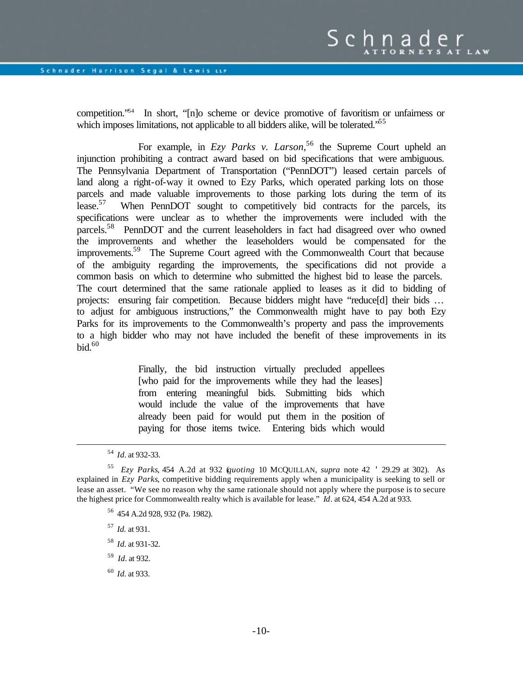competition."<sup>54</sup> In short, "[n]o scheme or device promotive of favoritism or unfairness or which imposes limitations, not applicable to all bidders alike, will be tolerated.<sup>55</sup>

For example, in *Ezy Parks v. Larson*, <sup>56</sup> the Supreme Court upheld an injunction prohibiting a contract award based on bid specifications that were ambiguous. The Pennsylvania Department of Transportation ("PennDOT") leased certain parcels of land along a right-of-way it owned to Ezy Parks, which operated parking lots on those parcels and made valuable improvements to those parking lots during the term of its lease.<sup>57</sup> When PennDOT sought to competitively bid contracts for the parcels, its specifications were unclear as to whether the improvements were included with the parcels.<sup>58</sup> PennDOT and the current leaseholders in fact had disagreed over who owned the improvements and whether the leaseholders would be compensated for the improvements.<sup>59</sup> The Supreme Court agreed with the Commonwealth Court that because of the ambiguity regarding the improvements, the specifications did not provide a common basis on which to determine who submitted the highest bid to lease the parcels. The court determined that the same rationale applied to leases as it did to bidding of projects: ensuring fair competition. Because bidders might have "reduce[d] their bids … to adjust for ambiguous instructions," the Commonwealth might have to pay both Ezy Parks for its improvements to the Commonwealth's property and pass the improvements to a high bidder who may not have included the benefit of these improvements in its  $bid.<sup>60</sup>$ 

> Finally, the bid instruction virtually precluded appellees [who paid for the improvements while they had the leases] from entering meaningful bids. Submitting bids which would include the value of the improvements that have already been paid for would put them in the position of paying for those items twice. Entering bids which would

- <sup>56</sup> 454 A.2d 928, 932 (Pa. 1982).
- <sup>57</sup> *Id.* at 931.
- <sup>58</sup> *Id.* at 931-32.
- 59 *Id.* at 932.
- <sup>60</sup> *Id.* at 933.

<sup>54</sup> *Id.* at 932-33.

<sup>55</sup> *Ezy Parks*, 454 A.2d at 932 (*quoting* 10 MCQUILLAN, *supra* note 42 ' 29.29 at 302). As explained in *Ezy Parks*, competitive bidding requirements apply when a municipality is seeking to sell or lease an asset. "We see no reason why the same rationale should not apply where the purpose is to secure the highest price for Commonwealth realty which is available for lease." *Id*. at 624, 454 A.2d at 933.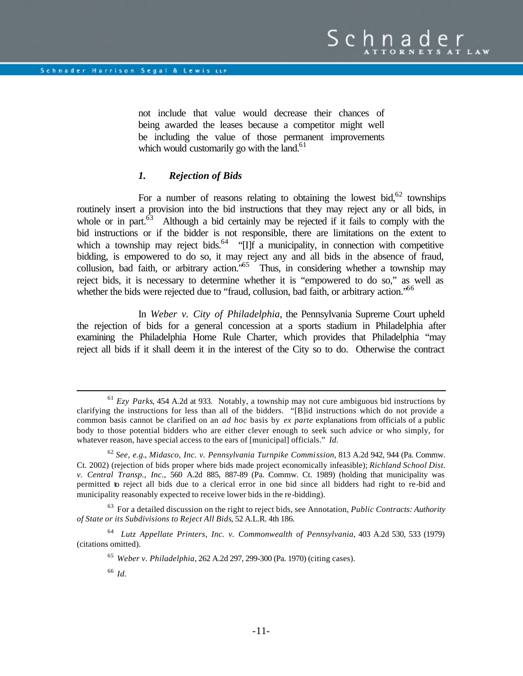not include that value would decrease their chances of being awarded the leases because a competitor might well be including the value of those permanent improvements which would customarily go with the land. $61$ 

#### *1. Rejection of Bids*

For a number of reasons relating to obtaining the lowest bid,  $62$  townships routinely insert a provision into the bid instructions that they may reject any or all bids, in whole or in part. $63$  Although a bid certainly may be rejected if it fails to comply with the bid instructions or if the bidder is not responsible, there are limitations on the extent to which a township may reject bids.<sup>64</sup> " $\Pi$  a municipality, in connection with competitive bidding, is empowered to do so, it may reject any and all bids in the absence of fraud, collusion, bad faith, or arbitrary action.<sup>565</sup> Thus, in considering whether a township may reject bids, it is necessary to determine whether it is "empowered to do so," as well as whether the bids were rejected due to "fraud, collusion, bad faith, or arbitrary action."<sup>66</sup>

In *Weber v. City of Philadelphia*, the Pennsylvania Supreme Court upheld the rejection of bids for a general concession at a sports stadium in Philadelphia after examining the Philadelphia Home Rule Charter, which provides that Philadelphia "may reject all bids if it shall deem it in the interest of the City so to do. Otherwise the contract

<sup>63</sup> For a detailed discussion on the right to reject bids, see Annotation, *Public Contracts: Authority of State or its Subdivisions to Reject All Bids*, 52 A.L.R. 4th 186.

<sup>61</sup> *Ezy Parks*, 454 A.2d at 933. Notably, a township may not cure ambiguous bid instructions by clarifying the instructions for less than all of the bidders. "[B]id instructions which do not provide a common basis cannot be clarified on an *ad hoc* basis by *ex parte* explanations from officials of a public body to those potential bidders who are either clever enough to seek such advice or who simply, for whatever reason, have special access to the ears of [municipal] officials." *Id.*

<sup>62</sup> *See, e.g.*, *Midasco, Inc. v. Pennsylvania Turnpike Commission*, 813 A.2d 942, 944 (Pa. Commw. Ct. 2002) (rejection of bids proper where bids made project economically infeasible); *Richland School Dist. v. Central Transp., Inc.*, 560 A.2d 885, 887-89 (Pa. Commw. Ct. 1989) (holding that municipality was permitted to reject all bids due to a clerical error in one bid since all bidders had right to re-bid and municipality reasonably expected to receive lower bids in the re-bidding).

<sup>64</sup> *Lutz Appellate Printers, Inc. v. Commonwealth of Pennsylvania*, 403 A.2d 530, 533 (1979) (citations omitted).

<sup>65</sup> *Weber v. Philadelphia*, 262 A.2d 297, 299-300 (Pa. 1970) (citing cases).

<sup>66</sup> *Id.*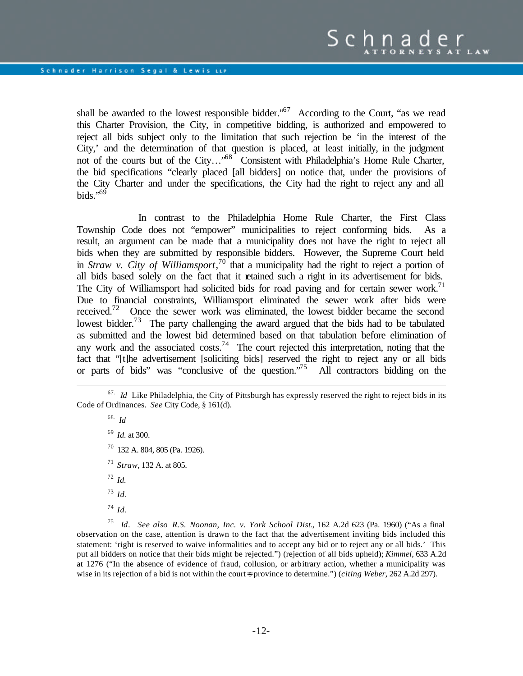shall be awarded to the lowest responsible bidder.<sup> $57$ </sup> According to the Court, "as we read this Charter Provision, the City, in competitive bidding, is authorized and empowered to reject all bids subject only to the limitation that such rejection be 'in the interest of the City,' and the determination of that question is placed, at least initially, in the judgment not of the courts but of the City...<sup>58</sup> Consistent with Philadelphia's Home Rule Charter, the bid specifications "clearly placed [all bidders] on notice that, under the provisions of the City Charter and under the specifications, the City had the right to reject any and all bids." $69$ 

In contrast to the Philadelphia Home Rule Charter, the First Class Township Code does not "empower" municipalities to reject conforming bids. As a result, an argument can be made that a municipality does not have the right to reject all bids when they are submitted by responsible bidders. However, the Supreme Court held in *Straw v. City of Williamsport*, <sup>70</sup> that a municipality had the right to reject a portion of all bids based solely on the fact that it retained such a right in its advertisement for bids. The City of Williamsport had solicited bids for road paving and for certain sewer work.<sup>71</sup> Due to financial constraints, Williamsport eliminated the sewer work after bids were received.<sup>72</sup> Once the sewer work was eliminated, the lowest bidder became the second lowest bidder.<sup>73</sup> The party challenging the award argued that the bids had to be tabulated as submitted and the lowest bid determined based on that tabulation before elimination of any work and the associated costs.<sup>74</sup> The court rejected this interpretation, noting that the fact that "[t]he advertisement [soliciting bids] reserved the right to reject any or all bids or parts of bids" was "conclusive of the question."<sup>75</sup> All contractors bidding on the

68. *Id* <sup>69</sup> *Id.* at 300. <sup>70</sup> 132 A. 804, 805 (Pa. 1926). <sup>71</sup> *Straw*, 132 A. at 805.  $72$  *Id.* <sup>73</sup> *Id.* <sup>74</sup> *Id.*

 $\overline{a}$ 

<sup>75</sup> *Id*. *See also R.S. Noonan, Inc. v. York School Dist.*, 162 A.2d 623 (Pa. 1960) ("As a final observation on the case, attention is drawn to the fact that the advertisement inviting bids included this statement: 'right is reserved to waive informalities and to accept any bid or to reject any or all bids.' This put all bidders on notice that their bids might be rejected.") (rejection of all bids upheld); *Kimmel*, 633 A.2d at 1276 ("In the absence of evidence of fraud, collusion, or arbitrary action, whether a municipality was wise in its rejection of a bid is not within the court=s province to determine.") (*citing Weber*, 262 A.2d 297).

<sup>&</sup>lt;sup>67.</sup> Id Like Philadelphia, the City of Pittsburgh has expressly reserved the right to reject bids in its Code of Ordinances. *See* City Code, § 161(d).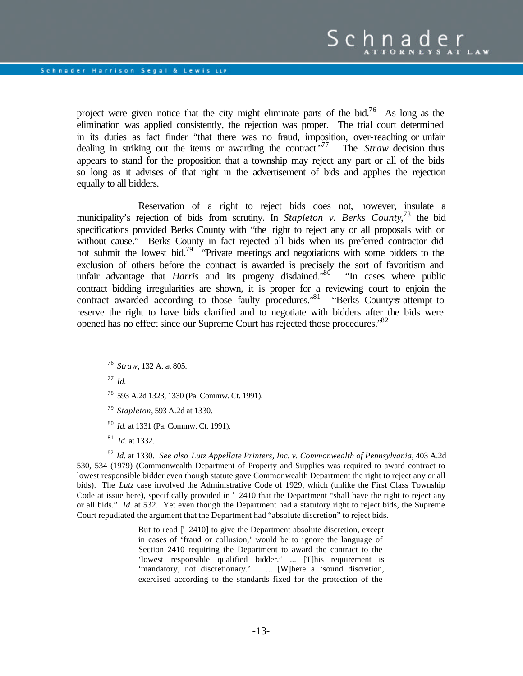project were given notice that the city might eliminate parts of the bid.<sup>76</sup> As long as the elimination was applied consistently, the rejection was proper. The trial court determined in its duties as fact finder "that there was no fraud, imposition, over-reaching or unfair dealing in striking out the items or awarding the contract.<sup>77</sup> The *Straw* decision thus appears to stand for the proposition that a township may reject any part or all of the bids so long as it advises of that right in the advertisement of bids and applies the rejection equally to all bidders.

Reservation of a right to reject bids does not, however, insulate a municipality's rejection of bids from scrutiny. In *Stapleton v. Berks County*, <sup>78</sup> the bid specifications provided Berks County with "the right to reject any or all proposals with or without cause." Berks County in fact rejected all bids when its preferred contractor did not submit the lowest bid.<sup>79</sup> "Private meetings and negotiations with some bidders to the exclusion of others before the contract is awarded is precisely the sort of favoritism and unfair advantage that *Harris* and its progeny disdained.<sup>80</sup> "In cases where public contract bidding irregularities are shown, it is proper for a reviewing court to enjoin the contract awarded according to those faulty procedures.<sup>81</sup> "Berks County-s attempt to reserve the right to have bids clarified and to negotiate with bidders after the bids were opened has no effect since our Supreme Court has rejected those procedures.<sup>82</sup>

- <sup>76</sup> *Straw*, 132 A. at 805.
- $17 \; Id.$

 $\overline{a}$ 

- <sup>78</sup> 593 A.2d 1323, 1330 (Pa. Commw. Ct. 1991).
- <sup>79</sup> *Stapleton*, 593 A.2d at 1330.
- <sup>80</sup> *Id.* at 1331 (Pa. Commw. Ct. 1991).
- 81 *Id.* at 1332.

<sup>82</sup> *Id.* at 1330. *See also Lutz Appellate Printers, Inc. v. Commonwealth of Pennsylvania*, 403 A.2d 530, 534 (1979) (Commonwealth Department of Property and Supplies was required to award contract to lowest responsible bidder even though statute gave Commonwealth Department the right to reject any or all bids). The *Lutz* case involved the Administrative Code of 1929, which (unlike the First Class Township Code at issue here), specifically provided in ' 2410 that the Department "shall have the right to reject any or all bids." *Id.* at 532. Yet even though the Department had a statutory right to reject bids, the Supreme Court repudiated the argument that the Department had "absolute discretion" to reject bids.

> But to read [' 2410] to give the Department absolute discretion, except in cases of 'fraud or collusion,' would be to ignore the language of Section 2410 requiring the Department to award the contract to the 'lowest responsible qualified bidder." ... [T]his requirement is 'mandatory, not discretionary.' ... [W]here a 'sound discretion, exercised according to the standards fixed for the protection of the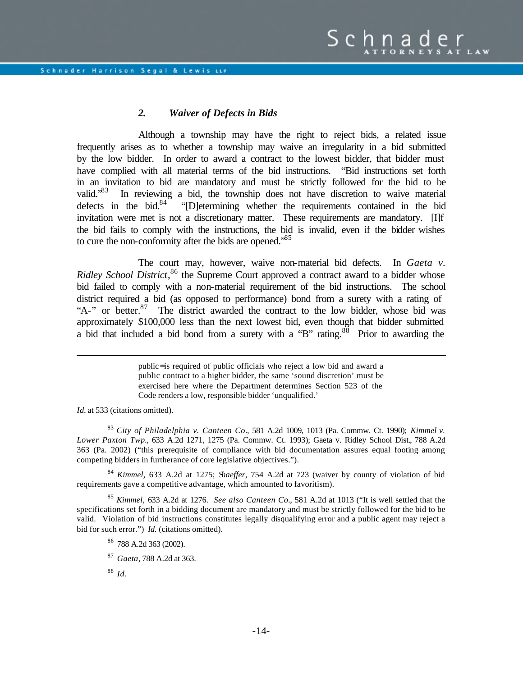## *2. Waiver of Defects in Bids*

Although a township may have the right to reject bids, a related issue frequently arises as to whether a township may waive an irregularity in a bid submitted by the low bidder. In order to award a contract to the lowest bidder, that bidder must have complied with all material terms of the bid instructions. "Bid instructions set forth in an invitation to bid are mandatory and must be strictly followed for the bid to be valid."83 In reviewing a bid, the township does not have discretion to waive material defects in the bid.<sup>84</sup> "[D]etermining whether the requirements contained in the bid invitation were met is not a discretionary matter. These requirements are mandatory. [I]f the bid fails to comply with the instructions, the bid is invalid, even if the bidder wishes to cure the non-conformity after the bids are opened.<sup>85</sup>

The court may, however, waive non-material bid defects. In *Gaeta v. Ridley School District*,<sup>86</sup> the Supreme Court approved a contract award to a bidder whose bid failed to comply with a non-material requirement of the bid instructions. The school district required a bid (as opposed to performance) bond from a surety with a rating of "A-" or better.<sup>87</sup> The district awarded the contract to the low bidder, whose bid was approximately \$100,000 less than the next lowest bid, even though that bidder submitted a bid that included a bid bond from a surety with a "B" rating. $88$  Prior to awarding the

> public= is required of public officials who reject a low bid and award a public contract to a higher bidder, the same 'sound discretion' must be exercised here where the Department determines Section 523 of the Code renders a low, responsible bidder 'unqualified.'

*Id.* at 533 (citations omitted).

 $\overline{a}$ 

<sup>83</sup> *City of Philadelphia v. Canteen Co*., 581 A.2d 1009, 1013 (Pa. Commw. Ct. 1990); *Kimmel v. Lower Paxton Twp.*, 633 A.2d 1271, 1275 (Pa. Commw. Ct. 1993); Gaeta v. Ridley School Dist.*,* 788 A.2d 363 (Pa. 2002) ("this prerequisite of compliance with bid documentation assures equal footing among competing bidders in furtherance of core legislative objectives.").

<sup>84</sup> *Kimmel,* 633 A.2d at 1275; S*haeffer*, 754 A.2d at 723 (waiver by county of violation of bid requirements gave a competitive advantage, which amounted to favoritism).

<sup>85</sup> *Kimmel,* 633 A.2d at 1276. *See also Canteen Co.*, 581 A.2d at 1013 ("It is well settled that the specifications set forth in a bidding document are mandatory and must be strictly followed for the bid to be valid. Violation of bid instructions constitutes legally disqualifying error and a public agent may reject a bid for such error.") *Id.* (citations omitted).

<sup>88</sup> *Id.*

<sup>86</sup> 788 A.2d 363 (2002).

<sup>87</sup> *Gaeta*, 788 A.2d at 363.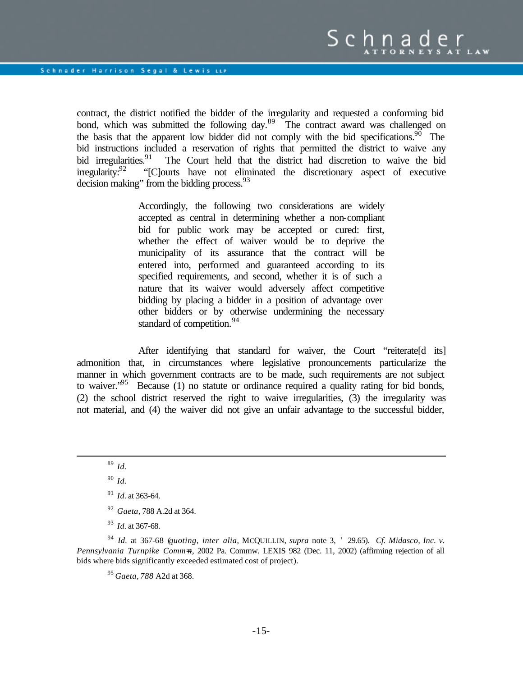contract, the district notified the bidder of the irregularity and requested a conforming bid bond, which was submitted the following day.<sup>89</sup> The contract award was challenged on the basis that the apparent low bidder did not comply with the bid specifications.<sup>90</sup> The bid instructions included a reservation of rights that permitted the district to waive any bid irregularities.<sup>91</sup> The Court held that the district had discretion to waive the bid bid irregularities.<sup>91</sup> The Court held that the district had discretion to waive the bid irregularity:<sup>92</sup> "[Clourts have not eliminated the discretionary aspect of executive "[C]ourts have not eliminated the discretionary aspect of executive decision making" from the bidding process.<sup>93</sup>

> Accordingly, the following two considerations are widely accepted as central in determining whether a non-compliant bid for public work may be accepted or cured: first, whether the effect of waiver would be to deprive the municipality of its assurance that the contract will be entered into, performed and guaranteed according to its specified requirements, and second, whether it is of such a nature that its waiver would adversely affect competitive bidding by placing a bidder in a position of advantage over other bidders or by otherwise undermining the necessary standard of competition.<sup>94</sup>

After identifying that standard for waiver, the Court "reiterate[d its] admonition that, in circumstances where legislative pronouncements particularize the manner in which government contracts are to be made, such requirements are not subject to waiver.<sup> $.95$ </sup> Because (1) no statute or ordinance required a quality rating for bid bonds, (2) the school district reserved the right to waive irregularities, (3) the irregularity was not material, and (4) the waiver did not give an unfair advantage to the successful bidder,

 $\overline{a}$ 

- <sup>92</sup> *Gaeta*, 788 A.2d at 364.
- <sup>93</sup> *Id.* at 367-68.

<sup>94</sup> *Id.* at 367-68 (*quoting*, *inter alia*, MCQUILLIN, *supra* note 3, ' 29.65). *Cf. Midasco, Inc. v. Pennsylvania Turnpike Comm=n*, 2002 Pa. Commw. LEXIS 982 (Dec. 11, 2002) (affirming rejection of all bids where bids significantly exceeded estimated cost of project).

<sup>95</sup> *Gaeta, 788* A2d at 368.

<sup>89</sup> *Id.*

<sup>90</sup> *Id.*

<sup>91</sup> *Id.* at 363-64.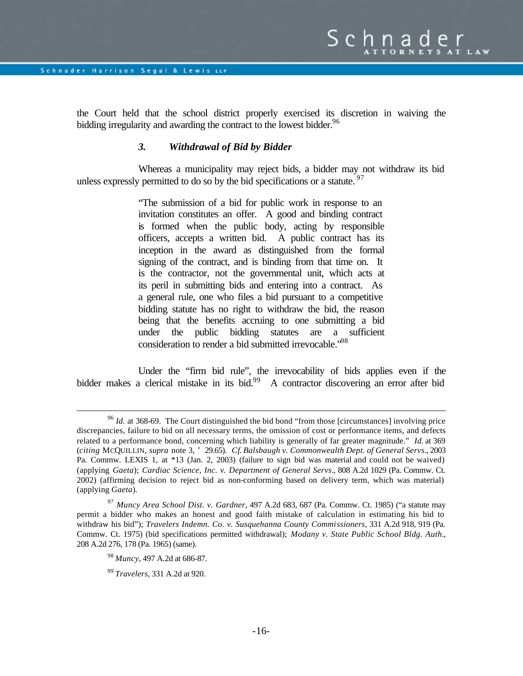the Court held that the school district properly exercised its discretion in waiving the bidding irregularity and awarding the contract to the lowest bidder.<sup>96</sup>

#### *3. Withdrawal of Bid by Bidder*

Whereas a municipality may reject bids, a bidder may not withdraw its bid unless expressly permitted to do so by the bid specifications or a statute.  $97$ 

> "The submission of a bid for public work in response to an invitation constitutes an offer. A good and binding contract is formed when the public body, acting by responsible officers, accepts a written bid. A public contract has its inception in the award as distinguished from the formal signing of the contract, and is binding from that time on. It is the contractor, not the governmental unit, which acts at its peril in submitting bids and entering into a contract. As a general rule, one who files a bid pursuant to a competitive bidding statute has no right to withdraw the bid, the reason being that the benefits accruing to one submitting a bid under the public bidding statutes are a sufficient consideration to render a bid submitted irrevocable.<sup>"98</sup>

Under the "firm bid rule", the irrevocability of bids applies even if the bidder makes a clerical mistake in its bid.<sup>99</sup> A contractor discovering an error after bid

<sup>&</sup>lt;sup>96</sup> *Id.* at 368-69. The Court distinguished the bid bond "from those [circumstances] involving price discrepancies, failure to bid on all necessary terms, the omission of cost or performance items, and defects related to a performance bond, concerning which liability is generally of far greater magnitude." *Id.* at 369 (*citing* MCQUILLIN, *supra* note 3, ' 29.65). *Cf*. *Balsbaugh v. Commonwealth Dept. of General Servs*., 2003 Pa. Commw. LEXIS 1, at \*13 (Jan. 2, 2003) (failure to sign bid was material and could not be waived) (applying *Gaeta*); *Cardiac Science, Inc. v. Department of General Servs*., 808 A.2d 1029 (Pa. Commw. Ct. 2002) (affirming decision to reject bid as non-conforming based on delivery term, which was material) (applying *Gaeta*).

<sup>97</sup> *Muncy Area School Dist. v. Gardner*, 497 A.2d 683, 687 (Pa. Commw. Ct. 1985) ("a statute may permit a bidder who makes an honest and good faith mistake of calculation in estimating his bid to withdraw his bid"); *Travelers Indemn. Co. v. Susquehanna County Commissioners*, 331 A.2d 918, 919 (Pa. Commw. Ct. 1975) (bid specifications permitted withdrawal); *Modany v. State Public School Bldg. Auth.*, 208 A.2d 276, 178 (Pa. 1965) (same).

<sup>98</sup> *Muncy*, 497 A.2d at 686-87.

<sup>99</sup> *Travelers*, 331 A.2d at 920.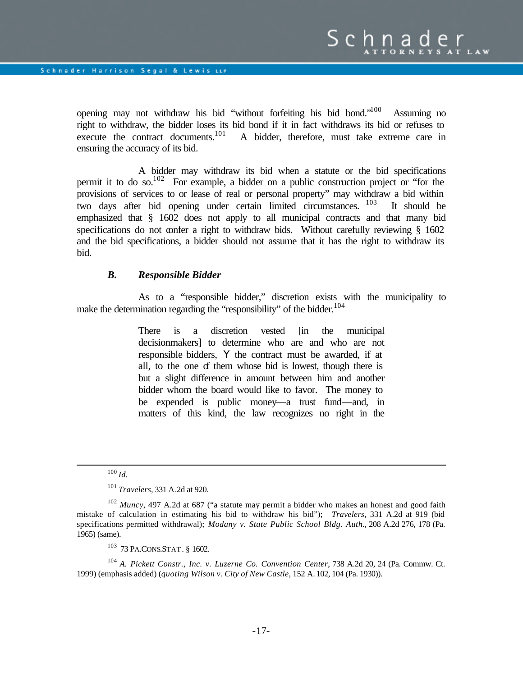opening may not withdraw his bid "without forfeiting his bid bond."<sup>100</sup> Assuming no right to withdraw, the bidder loses its bid bond if it in fact withdraws its bid or refuses to execute the contract documents.<sup>101</sup> A bidder, therefore, must take extreme care in ensuring the accuracy of its bid.

A bidder may withdraw its bid when a statute or the bid specifications permit it to do so.<sup>102</sup> For example, a bidder on a public construction project or "for the provisions of services to or lease of real or personal property" may withdraw a bid within two days after bid opening under certain limited circumstances. <sup>103</sup> It should be emphasized that § 1602 does not apply to all municipal contracts and that many bid specifications do not confer a right to withdraw bids. Without carefully reviewing § 1602 and the bid specifications, a bidder should not assume that it has the right to withdraw its bid.

#### *B. Responsible Bidder*

As to a "responsible bidder," discretion exists with the municipality to make the determination regarding the "responsibility" of the bidder.<sup>104</sup>

> There is a discretion vested [in the municipal decisionmakers] to determine who are and who are not responsible bidders, Y the contract must be awarded, if at all, to the one of them whose bid is lowest, though there is but a slight difference in amount between him and another bidder whom the board would like to favor. The money to be expended is public money—a trust fund—and, in matters of this kind, the law recognizes no right in the

<sup>100</sup> *Id.*

<sup>101</sup> *Travelers*, 331 A.2d at 920.

<sup>102</sup> *Muncy*, 497 A.2d at 687 ("a statute may permit a bidder who makes an honest and good faith mistake of calculation in estimating his bid to withdraw his bid"); *Travelers*, 331 A.2d at 919 (bid specifications permitted withdrawal); *Modany v. State Public School Bldg. Auth.*, 208 A.2d 276, 178 (Pa. 1965) (same).

<sup>103</sup> 73 PA.CONS.STAT. § 1602.

<sup>104</sup> *A. Pickett Constr., Inc. v. Luzerne Co. Convention Center*, 738 A.2d 20, 24 (Pa. Commw. Ct. 1999) (emphasis added) (*quoting Wilson v. City of New Castle*, 152 A. 102, 104 (Pa. 1930)).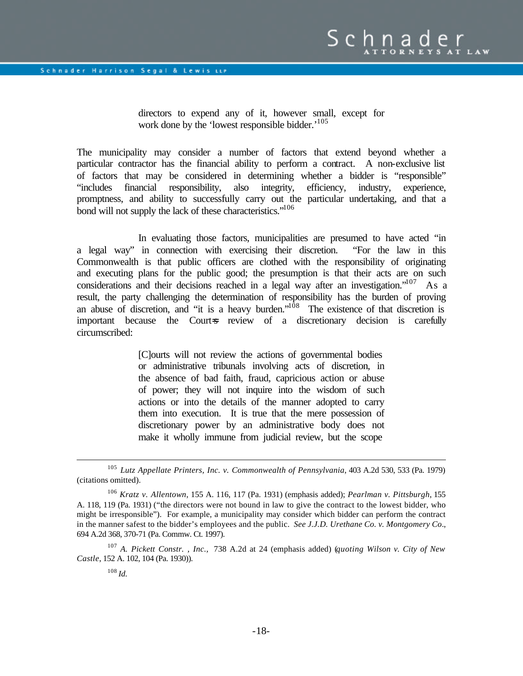directors to expend any of it, however small, except for work done by the 'lowest responsible bidder.'<sup>105</sup>

The municipality may consider a number of factors that extend beyond whether a particular contractor has the financial ability to perform a contract. A non-exclusive list of factors that may be considered in determining whether a bidder is "responsible" "includes financial responsibility, also integrity, efficiency, industry, experience, promptness, and ability to successfully carry out the particular undertaking, and that a bond will not supply the lack of these characteristics."<sup>106</sup>

In evaluating those factors, municipalities are presumed to have acted "in a legal way" in connection with exercising their discretion. "For the law in this Commonwealth is that public officers are clothed with the responsibility of originating and executing plans for the public good; the presumption is that their acts are on such considerations and their decisions reached in a legal way after an investigation."  $^{107}$  As a result, the party challenging the determination of responsibility has the burden of proving an abuse of discretion, and "it is a heavy burden."<sup>108</sup> The existence of that discretion is important because the Court-s review of a discretionary decision is carefully circumscribed:

> [C]ourts will not review the actions of governmental bodies or administrative tribunals involving acts of discretion, in the absence of bad faith, fraud, capricious action or abuse of power; they will not inquire into the wisdom of such actions or into the details of the manner adopted to carry them into execution. It is true that the mere possession of discretionary power by an administrative body does not make it wholly immune from judicial review, but the scope

<sup>105</sup> *Lutz Appellate Printers, Inc. v. Commonwealth of Pennsylvania*, 403 A.2d 530, 533 (Pa. 1979) (citations omitted).

<sup>106</sup> *Kratz v. Allentown*, 155 A. 116, 117 (Pa. 1931) (emphasis added); *Pearlman v. Pittsburgh*, 155 A. 118, 119 (Pa. 1931) ("the directors were not bound in law to give the contract to the lowest bidder, who might be irresponsible"). For example, a municipality may consider which bidder can perform the contract in the manner safest to the bidder's employees and the public. *See J.J.D. Urethane Co. v. Montgomery Co*., 694 A.2d 368, 370-71 (Pa. Commw. Ct. 1997).

<sup>107</sup> *A. Pickett Constr. , Inc.,* 738 A.2d at 24 (emphasis added) (*quoting Wilson v. City of New Castle*, 152 A. 102, 104 (Pa. 1930)).

 $108$  *Id.*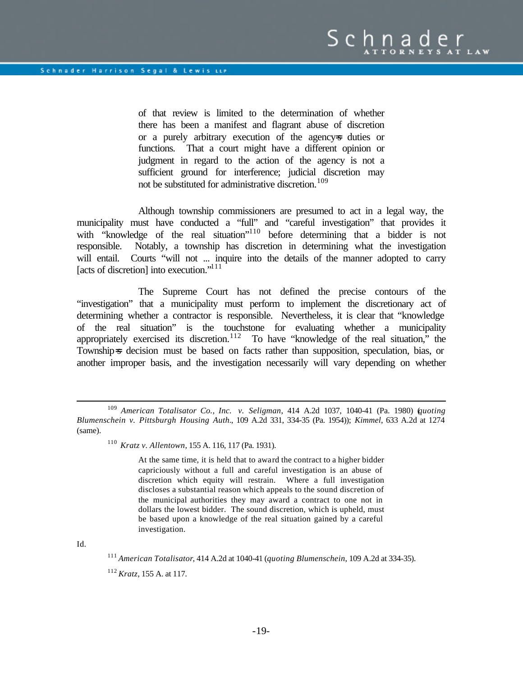of that review is limited to the determination of whether there has been a manifest and flagrant abuse of discretion or a purely arbitrary execution of the agency=s duties or functions. That a court might have a different opinion or judgment in regard to the action of the agency is not a sufficient ground for interference; judicial discretion may not be substituted for administrative discretion.<sup>109</sup>

Although township commissioners are presumed to act in a legal way, the municipality must have conducted a "full" and "careful investigation" that provides it with "knowledge of the real situation"<sup>110</sup> before determining that a bidder is not responsible. Notably, a township has discretion in determining what the investigation will entail. Courts "will not ... inquire into the details of the manner adopted to carry [acts of discretion] into execution."<sup>111</sup>

The Supreme Court has not defined the precise contours of the "investigation" that a municipality must perform to implement the discretionary act of determining whether a contractor is responsible. Nevertheless, it is clear that "knowledge of the real situation" is the touchstone for evaluating whether a municipality appropriately exercised its discretion.<sup>112</sup> To have "knowledge of the real situation," the Township=s decision must be based on facts rather than supposition, speculation, bias, or another improper basis, and the investigation necessarily will vary depending on whether

At the same time, it is held that to award the contract to a higher bidder capriciously without a full and careful investigation is an abuse of discretion which equity will restrain. Where a full investigation discloses a substantial reason which appeals to the sound discretion of the municipal authorities they may award a contract to one not in dollars the lowest bidder. The sound discretion, which is upheld, must be based upon a knowledge of the real situation gained by a careful investigation.

Id.

<sup>109</sup> *American Totalisator Co., Inc. v. Seligman*, 414 A.2d 1037, 1040-41 (Pa. 1980) (*quoting Blumenschein v. Pittsburgh Housing Auth.*, 109 A.2d 331, 334-35 (Pa. 1954)); *Kimmel*, 633 A.2d at 1274 (same).

<sup>110</sup> *Kratz v. Allentown*, 155 A. 116, 117 (Pa. 1931).

<sup>111</sup> *American Totalisator*, 414 A.2d at 1040-41 (*quoting Blumenschein*, 109 A.2d at 334-35).

<sup>112</sup> *Kratz*, 155 A. at 117.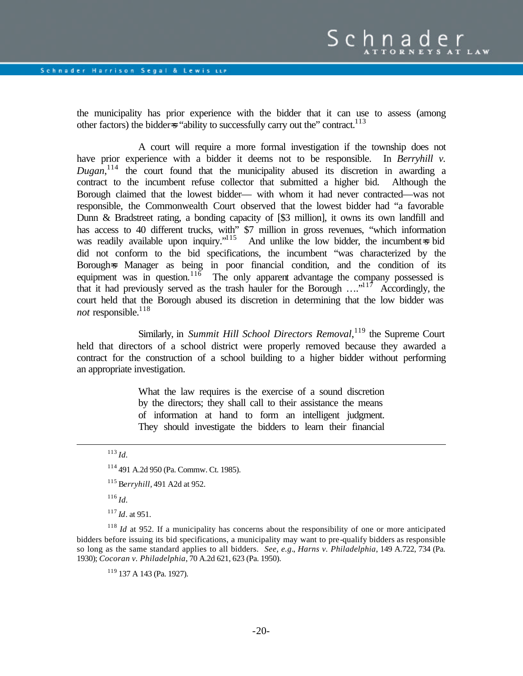the municipality has prior experience with the bidder that it can use to assess (among other factors) the bidderss "ability to successfully carry out the" contract.<sup>113</sup>

A court will require a more formal investigation if the township does not have prior experience with a bidder it deems not to be responsible. In *Berryhill v. Dugan*, <sup>114</sup> the court found that the municipality abused its discretion in awarding a contract to the incumbent refuse collector that submitted a higher bid. Although the Borough claimed that the lowest bidder— with whom it had never contracted—was not responsible, the Commonwealth Court observed that the lowest bidder had "a favorable Dunn & Bradstreet rating, a bonding capacity of [\$3 million], it owns its own landfill and has access to 40 different trucks, with" \$7 million in gross revenues, "which information was readily available upon inquiry."<sup>115</sup> And unlike the low bidder, the incumbent is bid did not conform to the bid specifications, the incumbent "was characterized by the Borough=s Manager as being in poor financial condition, and the condition of its equipment was in question.<sup>116</sup> The only apparent advantage the company possessed is that it had previously served as the trash hauler for the Borough  $\ldots$ <sup>117</sup> Accordingly, the court held that the Borough abused its discretion in determining that the low bidder was *not* responsible.<sup>118</sup>

Similarly, in *Summit Hill School Directors Removal*, <sup>119</sup> the Supreme Court held that directors of a school district were properly removed because they awarded a contract for the construction of a school building to a higher bidder without performing an appropriate investigation.

> What the law requires is the exercise of a sound discretion by the directors; they shall call to their assistance the means of information at hand to form an intelligent judgment. They should investigate the bidders to learn their financial

# <sup>113</sup> *Id.*

 $\overline{a}$ 

- <sup>114</sup> 491 A.2d 950 (Pa. Commw. Ct. 1985).
- <sup>115</sup> B*erryhill,* 491 A2d at 952.
- <sup>116</sup> *Id.*
- <sup>117</sup> *Id*. at 951.

<sup>118</sup> *Id* at 952. If a municipality has concerns about the responsibility of one or more anticipated bidders before issuing its bid specifications, a municipality may want to pre-qualify bidders as responsible so long as the same standard applies to all bidders. *See, e.g.*, *Harns v. Philadelphia*, 149 A.722, 734 (Pa. 1930); *Cocoran v. Philadelphia*, 70 A.2d 621, 623 (Pa. 1950).

<sup>119</sup> 137 A 143 (Pa. 1927).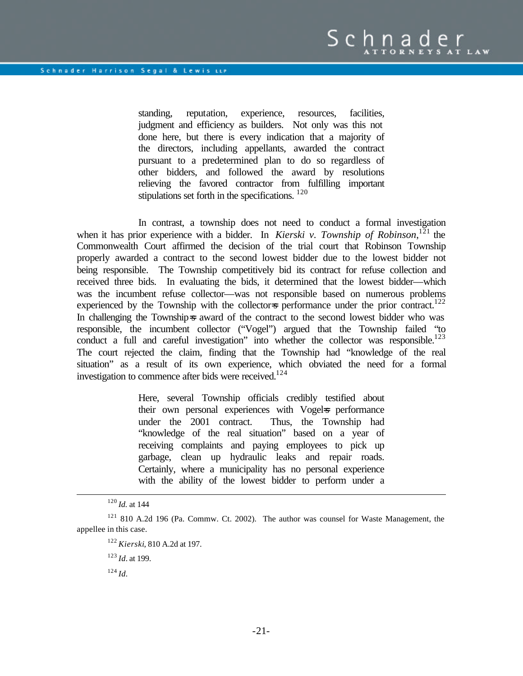standing, reputation, experience, resources, facilities, judgment and efficiency as builders. Not only was this not done here, but there is every indication that a majority of the directors, including appellants, awarded the contract pursuant to a predetermined plan to do so regardless of other bidders, and followed the award by resolutions relieving the favored contractor from fulfilling important stipulations set forth in the specifications.  $120$ 

In contrast, a township does not need to conduct a formal investigation when it has prior experience with a bidder. In *Kierski v. Township of Robinson*,<sup>121</sup> the Commonwealth Court affirmed the decision of the trial court that Robinson Township properly awarded a contract to the second lowest bidder due to the lowest bidder not being responsible. The Township competitively bid its contract for refuse collection and received three bids. In evaluating the bids, it determined that the lowest bidder—which was the incumbent refuse collector—was not responsible based on numerous problems experienced by the Township with the collector=s performance under the prior contract.<sup>122</sup> In challenging the Township=s award of the contract to the second lowest bidder who was responsible, the incumbent collector ("Vogel") argued that the Township failed "to conduct a full and careful investigation" into whether the collector was responsible.<sup>123</sup> The court rejected the claim, finding that the Township had "knowledge of the real situation" as a result of its own experience, which obviated the need for a formal investigation to commence after bids were received.<sup>124</sup>

> Here, several Township officials credibly testified about their own personal experiences with Vogels performance under the 2001 contract. Thus, the Township had "knowledge of the real situation" based on a year of receiving complaints and paying employees to pick up garbage, clean up hydraulic leaks and repair roads. Certainly, where a municipality has no personal experience with the ability of the lowest bidder to perform under a

 $\overline{a}$ 

<sup>124</sup> *Id.*

<sup>120</sup> *Id.* at 144

<sup>121</sup> 810 A.2d 196 (Pa. Commw. Ct. 2002). The author was counsel for Waste Management, the appellee in this case.

<sup>122</sup> *Kierski*, 810 A.2d at 197.

<sup>123</sup> *Id.* at 199.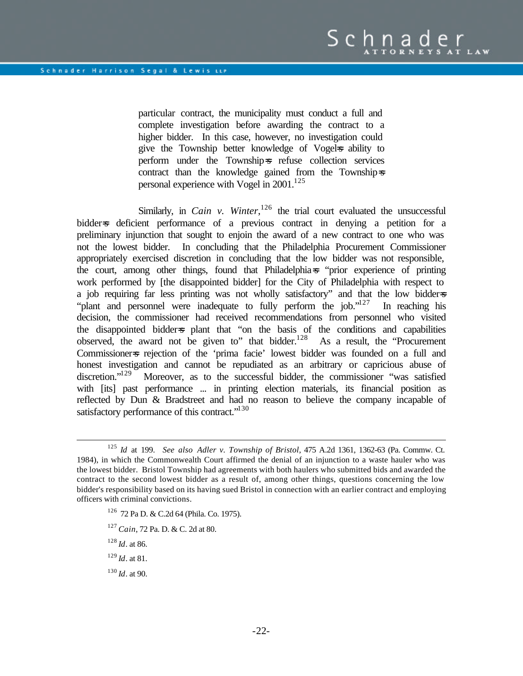particular contract, the municipality must conduct a full and complete investigation before awarding the contract to a higher bidder. In this case, however, no investigation could give the Township better knowledge of Vogels ability to perform under the Township=s refuse collection services contract than the knowledge gained from the Township=s personal experience with Vogel in  $2001$ <sup>125</sup>

Similarly, in *Cain v. Winter*,  $126$  the trial court evaluated the unsuccessful bidder=s deficient performance of a previous contract in denying a petition for a preliminary injunction that sought to enjoin the award of a new contract to one who was not the lowest bidder. In concluding that the Philadelphia Procurement Commissioner appropriately exercised discretion in concluding that the low bidder was not responsible, the court, among other things, found that Philadelphia=s "prior experience of printing work performed by [the disappointed bidder] for the City of Philadelphia with respect to a job requiring far less printing was not wholly satisfactory" and that the low bidder=s "plant and personnel were inadequate to fully perform the job."<sup>127</sup> In reaching his decision, the commissioner had received recommendations from personnel who visited the disappointed bidder=s plant that "on the basis of the conditions and capabilities observed, the award not be given to" that bidder.<sup>128</sup> As a result, the "Procurement Commissioner=s rejection of the 'prima facie' lowest bidder was founded on a full and honest investigation and cannot be repudiated as an arbitrary or capricious abuse of discretion."<sup>129</sup> Moreover, as to the successful bidder, the commissioner "was satisfied Moreover, as to the successful bidder, the commissioner "was satisfied with [its] past performance ... in printing election materials, its financial position as reflected by Dun & Bradstreet and had no reason to believe the company incapable of satisfactory performance of this contract."<sup>130</sup>

- <sup>126</sup> 72 Pa D. & C.2d 64 (Phila. Co. 1975).
- <sup>127</sup> *Cain*, 72 Pa. D. & C. 2d at 80.
- <sup>128</sup> *Id*. at 86.

- <sup>129</sup> *Id*. at 81.
- <sup>130</sup> *Id*. at 90.

<sup>125</sup> *Id* at 199. *See also Adler v. Township of Bristol*, 475 A.2d 1361, 1362-63 (Pa. Commw. Ct. 1984), in which the Commonwealth Court affirmed the denial of an injunction to a waste hauler who was the lowest bidder. Bristol Township had agreements with both haulers who submitted bids and awarded the contract to the second lowest bidder as a result of, among other things, questions concerning the low bidder's responsibility based on its having sued Bristol in connection with an earlier contract and employing officers with criminal convictions.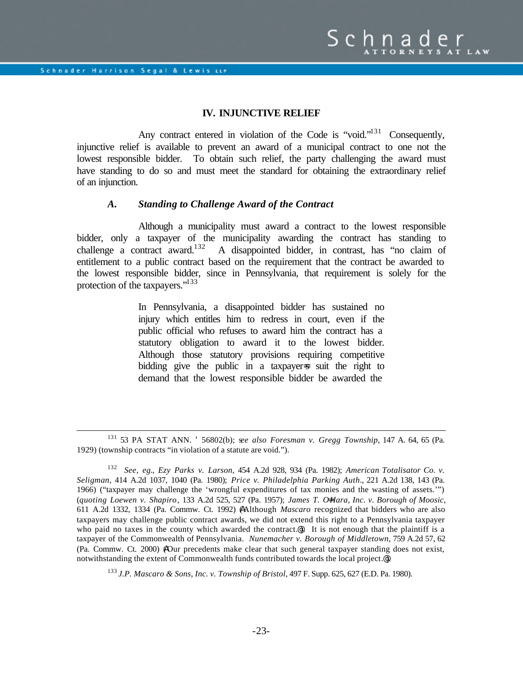$\overline{a}$ 

#### **IV. INJUNCTIVE RELIEF**

Any contract entered in violation of the Code is "void."<sup>131</sup> Consequently, injunctive relief is available to prevent an award of a municipal contract to one not the lowest responsible bidder. To obtain such relief, the party challenging the award must have standing to do so and must meet the standard for obtaining the extraordinary relief of an injunction.

#### *A. Standing to Challenge Award of the Contract*

Although a municipality must award a contract to the lowest responsible bidder, only a taxpayer of the municipality awarding the contract has standing to challenge a contract award.<sup>132</sup> A disappointed bidder, in contrast, has "no claim of entitlement to a public contract based on the requirement that the contract be awarded to the lowest responsible bidder, since in Pennsylvania, that requirement is solely for the protection of the taxpayers."<sup>133</sup>

> In Pennsylvania, a disappointed bidder has sustained no injury which entitles him to redress in court, even if the public official who refuses to award him the contract has a statutory obligation to award it to the lowest bidder. Although those statutory provisions requiring competitive bidding give the public in a taxpayer is suit the right to demand that the lowest responsible bidder be awarded the

<sup>133</sup> *J.P. Mascaro & Sons, Inc. v. Township of Bristol*, 497 F. Supp. 625, 627 (E.D. Pa. 1980).

<sup>131</sup> 53 PA STAT ANN. ' 56802(b); s*ee also Foresman v. Gregg Township*, 147 A. 64, 65 (Pa. 1929) (township contracts "in violation of a statute are void.").

<sup>132</sup> *See, eg.*, *Ezy Parks v. Larson*, 454 A.2d 928, 934 (Pa. 1982); *American Totalisator Co. v. Seligman*, 414 A.2d 1037, 1040 (Pa. 1980); *Price v. Philadelphia Parking Auth*., 221 A.2d 138, 143 (Pa. 1966) ("taxpayer may challenge the 'wrongful expenditures of tax monies and the wasting of assets.'") (*quoting Loewen v. Shapiro*, 133 A.2d 525, 527 (Pa. 1957); *James T. O=Hara, Inc. v. Borough of Moosic*, 611 A.2d 1332, 1334 (Pa. Commw. Ct. 1992) (AAlthough *Mascaro* recognized that bidders who are also taxpayers may challenge public contract awards, we did not extend this right to a Pennsylvania taxpayer who paid no taxes in the county which awarded the contract.<sup>@</sup>). It is not enough that the plaintiff is a taxpayer of the Commonwealth of Pennsylvania. *Nunemacher v. Borough of Middletown*, 759 A.2d 57, 62 (Pa. Commw. Ct. 2000) (AOur precedents make clear that such general taxpayer standing does not exist, notwithstanding the extent of Commonwealth funds contributed towards the local project.@).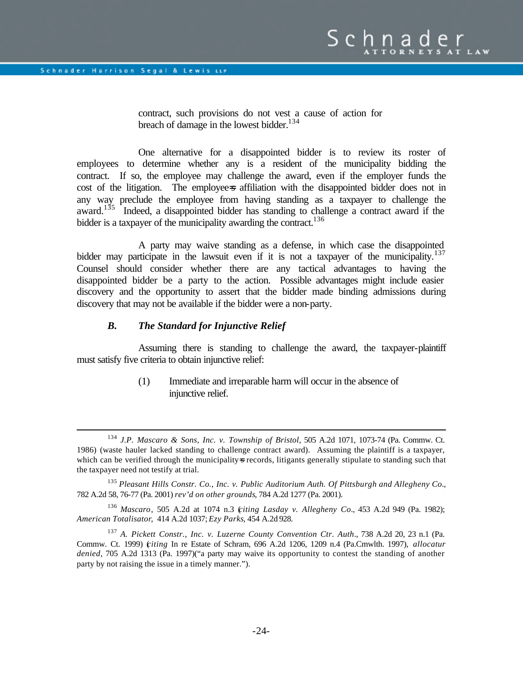$\overline{a}$ 

contract, such provisions do not vest a cause of action for breach of damage in the lowest bidder. $134$ 

One alternative for a disappointed bidder is to review its roster of employees to determine whether any is a resident of the municipality bidding the contract. If so, the employee may challenge the award, even if the employer funds the cost of the litigation. The employee-s affiliation with the disappointed bidder does not in any way preclude the employee from having standing as a taxpayer to challenge the award.<sup>135</sup> Indeed, a disappointed bidder has standing to challenge a contract award if the bidder is a taxpayer of the municipality awarding the contract.<sup>136</sup>

A party may waive standing as a defense, in which case the disappointed bidder may participate in the lawsuit even if it is not a taxpayer of the municipality.<sup>137</sup> Counsel should consider whether there are any tactical advantages to having the disappointed bidder be a party to the action. Possible advantages might include easier discovery and the opportunity to assert that the bidder made binding admissions during discovery that may not be available if the bidder were a non-party.

## *B. The Standard for Injunctive Relief*

Assuming there is standing to challenge the award, the taxpayer-plaintiff must satisfy five criteria to obtain injunctive relief:

> (1) Immediate and irreparable harm will occur in the absence of injunctive relief.

<sup>136</sup> *Mascaro*, 505 A.2d at 1074 n.3 (*citing Lasday v. Allegheny Co*., 453 A.2d 949 (Pa. 1982); *American Totalisator*, 414 A.2d 1037; *Ezy Parks*, 454 A.2d 928.

<sup>137</sup> *A. Pickett Constr., Inc. v. Luzerne County Convention Ctr. Auth*., 738 A.2d 20, 23 n.1 (Pa. Commw. Ct. 1999) (*citing* In re Estate of Schram, 696 A.2d 1206, 1209 n.4 (Pa.Cmwlth. 1997), *allocatur denied*, 705 A.2d 1313 (Pa. 1997)("a party may waive its opportunity to contest the standing of another party by not raising the issue in a timely manner.").

<sup>134</sup> *J.P. Mascaro & Sons, Inc. v. Township of Bristol*, 505 A.2d 1071, 1073-74 (Pa. Commw. Ct. 1986) (waste hauler lacked standing to challenge contract award). Assuming the plaintiff is a taxpayer, which can be verified through the municipality-s records, litigants generally stipulate to standing such that the taxpayer need not testify at trial.

<sup>135</sup> *Pleasant Hills Constr. Co., Inc. v. Public Auditorium Auth. Of Pittsburgh and Allegheny Co.*, 782 A.2d 58, 76-77 (Pa. 2001) *rev'd on other grounds*, 784 A.2d 1277 (Pa. 2001).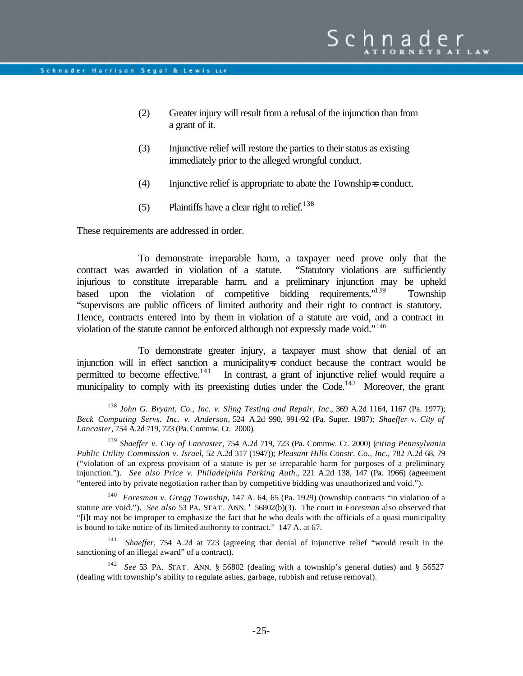- (2) Greater injury will result from a refusal of the injunction than from a grant of it.
- (3) Injunctive relief will restore the parties to their status as existing immediately prior to the alleged wrongful conduct.
- (4) Injunctive relief is appropriate to abate the Township=s conduct.
- (5) Plaintiffs have a clear right to relief.<sup>138</sup>

These requirements are addressed in order.

 $\overline{a}$ 

To demonstrate irreparable harm, a taxpayer need prove only that the contract was awarded in violation of a statute. "Statutory violations are sufficiently injurious to constitute irreparable harm, and a preliminary injunction may be upheld based upon the violation of competitive bidding requirements."<sup>139</sup> Township "supervisors are public officers of limited authority and their right to contract is statutory. Hence, contracts entered into by them in violation of a statute are void, and a contract in violation of the statute cannot be enforced although not expressly made void." <sup>140</sup>

To demonstrate greater injury, a taxpayer must show that denial of an injunction will in effect sanction a municipality-s conduct because the contract would be permitted to become effective.  $\frac{141}{n}$  In contrast, a grant of injunctive relief would require a In contrast, a grant of injunctive relief would require a municipality to comply with its preexisting duties under the  $Code<sup>142</sup>$  Moreover, the grant

<sup>138</sup> *John G. Bryant, Co., Inc. v. Sling Testing and Repair, Inc*., 369 A.2d 1164, 1167 (Pa. 1977); *Beck Computing Servs. Inc. v. Anderson*, 524 A.2d 990, 991-92 (Pa. Super. 1987); *Shaeffer v. City of Lancaster*, 754 A.2d 719, 723 (Pa. Commw. Ct. 2000).

<sup>139</sup> *Shaeffer v. City of Lancaster*, 754 A.2d 719, 723 (Pa. Commw. Ct. 2000) (*citing Pennsylvania Public Utility Commission v. Israel*, 52 A.2d 317 (1947)); *Pleasant Hills Constr. Co., Inc.,* 782 A.2d 68, 79 ("violation of an express provision of a statute is per se irreparable harm for purposes of a preliminary injunction."). *See also Price v. Philadelphia Parking Auth.*, 221 A.2d 138, 147 (Pa. 1966) (agreement "entered into by private negotiation rather than by competitive bidding was unauthorized and void.").

<sup>140</sup> *Foresman v. Gregg Township*, 147 A. 64, 65 (Pa. 1929) (township contracts "in violation of a statute are void."). *See also* 53 PA. STAT. ANN. ' 56802(b)(3). The court in *Foresman* also observed that "[i]t may not be improper to emphasize the fact that he who deals with the officials of a quasi municipality is bound to take notice of its limited authority to contract." 147 A. at 67.

<sup>141</sup> *Shaeffer*, 754 A.2d at 723 (agreeing that denial of injunctive relief "would result in the sanctioning of an illegal award" of a contract).

<sup>142</sup> *See* 53 PA. STAT. ANN. § 56802 (dealing with a township's general duties) and § 56527 (dealing with township's ability to regulate ashes, garbage, rubbish and refuse removal).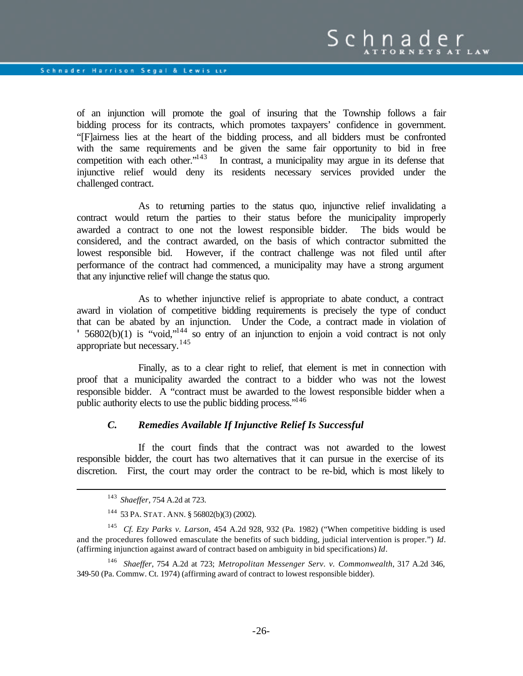of an injunction will promote the goal of insuring that the Township follows a fair bidding process for its contracts, which promotes taxpayers' confidence in government. "[F]airness lies at the heart of the bidding process, and all bidders must be confronted with the same requirements and be given the same fair opportunity to bid in free competition with each other." $143$  In contrast, a municipality may argue in its defense that injunctive relief would deny its residents necessary services provided under the challenged contract.

As to returning parties to the status quo, injunctive relief invalidating a contract would return the parties to their status before the municipality improperly awarded a contract to one not the lowest responsible bidder. The bids would be considered, and the contract awarded, on the basis of which contractor submitted the lowest responsible bid. However, if the contract challenge was not filed until after performance of the contract had commenced, a municipality may have a strong argument that any injunctive relief will change the status quo.

As to whether injunctive relief is appropriate to abate conduct, a contract award in violation of competitive bidding requirements is precisely the type of conduct that can be abated by an injunction. Under the Code, a contract made in violation of '  $56802(b)(1)$  is "void,"<sup>144</sup> so entry of an injunction to enjoin a void contract is not only appropriate but necessary.<sup>145</sup>

Finally, as to a clear right to relief, that element is met in connection with proof that a municipality awarded the contract to a bidder who was not the lowest responsible bidder. A "contract must be awarded to the lowest responsible bidder when a public authority elects to use the public bidding process."<sup>146</sup>

#### *C. Remedies Available If Injunctive Relief Is Successful*

If the court finds that the contract was not awarded to the lowest responsible bidder, the court has two alternatives that it can pursue in the exercise of its discretion. First, the court may order the contract to be re-bid, which is most likely to

<sup>143</sup> *Shaeffer*, 754 A.2d at 723.

<sup>144</sup> 53 PA. STAT. ANN. § 56802(b)(3) (2002).

<sup>145</sup> *Cf. Ezy Parks v. Larson*, 454 A.2d 928, 932 (Pa. 1982) ("When competitive bidding is used and the procedures followed emasculate the benefits of such bidding, judicial intervention is proper.") *Id*. (affirming injunction against award of contract based on ambiguity in bid specifications) *Id*.

<sup>146</sup> *Shaeffer*, 754 A.2d at 723; *Metropolitan Messenger Serv. v. Commonwealth*, 317 A.2d 346, 349-50 (Pa. Commw. Ct. 1974) (affirming award of contract to lowest responsible bidder).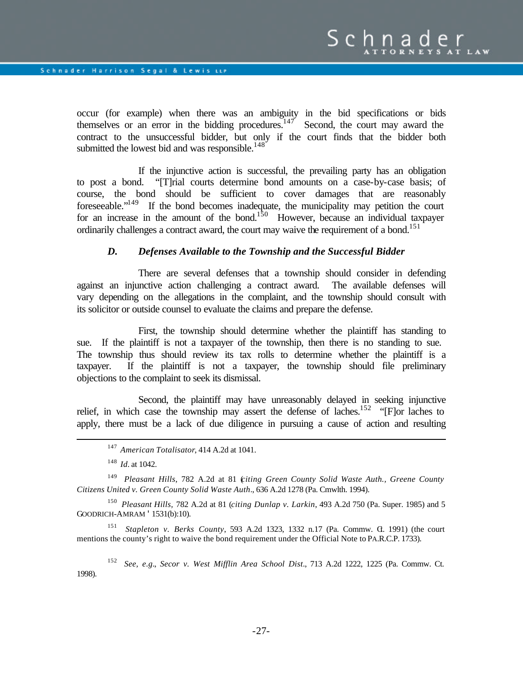occur (for example) when there was an ambiguity in the bid specifications or bids themselves or an error in the bidding procedures.<sup>147</sup> Second, the court may award the contract to the unsuccessful bidder, but only if the court finds that the bidder both submitted the lowest bid and was responsible. $148$ <sup>\*</sup>

If the injunctive action is successful, the prevailing party has an obligation to post a bond. "[T]rial courts determine bond amounts on a case-by-case basis; of course, the bond should be sufficient to cover damages that are reasonably foreseeable."<sup>149</sup> If the bond becomes inadequate, the municipality may petition the court for an increase in the amount of the bond.<sup>150</sup> However, because an individual taxpayer ordinarily challenges a contract award, the court may waive the requirement of a bond.<sup>151</sup>

## *D. Defenses Available to the Township and the Successful Bidder*

There are several defenses that a township should consider in defending against an injunctive action challenging a contract award. The available defenses will vary depending on the allegations in the complaint, and the township should consult with its solicitor or outside counsel to evaluate the claims and prepare the defense.

First, the township should determine whether the plaintiff has standing to sue. If the plaintiff is not a taxpayer of the township, then there is no standing to sue. The township thus should review its tax rolls to determine whether the plaintiff is a taxpayer. If the plaintiff is not a taxpayer, the township should file preliminary objections to the complaint to seek its dismissal.

Second, the plaintiff may have unreasonably delayed in seeking injunctive relief, in which case the township may assert the defense of laches.<sup>152</sup> "[F]or laches to apply, there must be a lack of due diligence in pursuing a cause of action and resulting

<sup>148</sup> *Id.* at 1042.

 $\overline{a}$ 

<sup>149</sup> *Pleasant Hills*, 782 A.2d at 81 (*citing Green County Solid Waste Auth., Greene County Citizens United v. Green County Solid Waste Auth*., 636 A.2d 1278 (Pa. Cmwlth. 1994).

<sup>150</sup> *Pleasant Hills,* 782 A.2d at 81 (*citing Dunlap v. Larkin*, 493 A.2d 750 (Pa. Super. 1985) and 5 GOODRICH-AMRAM '1531(b):10).

<sup>151</sup> *Stapleton v. Berks County*, 593 A.2d 1323, 1332 n.17 (Pa. Commw. G. 1991) (the court mentions the county's right to waive the bond requirement under the Official Note to PA.R.C.P. 1733).

<sup>152</sup> *See, e.g.*, *Secor v. West Mifflin Area School Dist*., 713 A.2d 1222, 1225 (Pa. Commw. Ct. 1998).

<sup>147</sup> *American Totalisator*, 414 A.2d at 1041.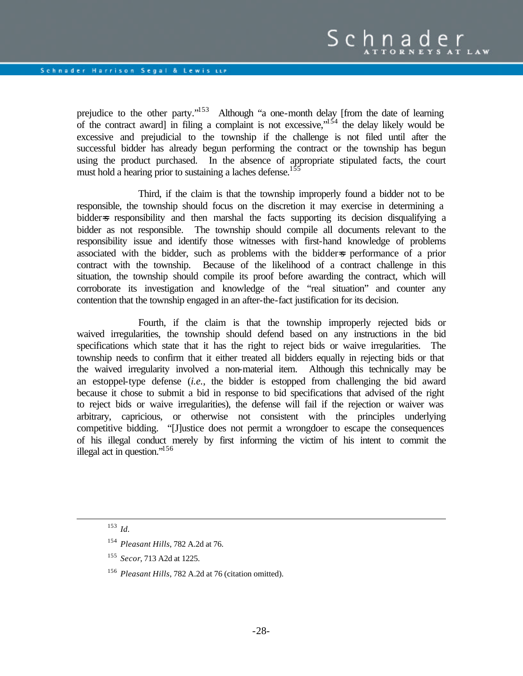prejudice to the other party."<sup>153</sup> Although "a one-month delay [from the date of learning of the contract award] in filing a complaint is not excessive,  $1^{54}$  the delay likely would be excessive and prejudicial to the township if the challenge is not filed until after the successful bidder has already begun performing the contract or the township has begun using the product purchased. In the absence of appropriate stipulated facts, the court must hold a hearing prior to sustaining a laches defense.<sup>1</sup>

Third, if the claim is that the township improperly found a bidder not to be responsible, the township should focus on the discretion it may exercise in determining a bidder is responsibility and then marshal the facts supporting its decision disqualifying a bidder as not responsible. The township should compile all documents relevant to the responsibility issue and identify those witnesses with first-hand knowledge of problems associated with the bidder, such as problems with the bidder=s performance of a prior contract with the township. Because of the likelihood of a contract challenge in this situation, the township should compile its proof before awarding the contract, which will corroborate its investigation and knowledge of the "real situation" and counter any contention that the township engaged in an after-the-fact justification for its decision.

Fourth, if the claim is that the township improperly rejected bids or waived irregularities, the township should defend based on any instructions in the bid specifications which state that it has the right to reject bids or waive irregularities. The township needs to confirm that it either treated all bidders equally in rejecting bids or that the waived irregularity involved a non-material item. Although this technically may be an estoppel-type defense (*i.e.*, the bidder is estopped from challenging the bid award because it chose to submit a bid in response to bid specifications that advised of the right to reject bids or waive irregularities), the defense will fail if the rejection or waiver was arbitrary, capricious, or otherwise not consistent with the principles underlying competitive bidding. "[J]ustice does not permit a wrongdoer to escape the consequences of his illegal conduct merely by first informing the victim of his intent to commit the illegal act in question."<sup>156</sup>

<sup>153</sup> *Id.*

<sup>154</sup> *Pleasant Hills*, 782 A.2d at 76.

<sup>155</sup> *Secor*, 713 A2d at 1225.

<sup>156</sup> *Pleasant Hills*, 782 A.2d at 76 (citation omitted).